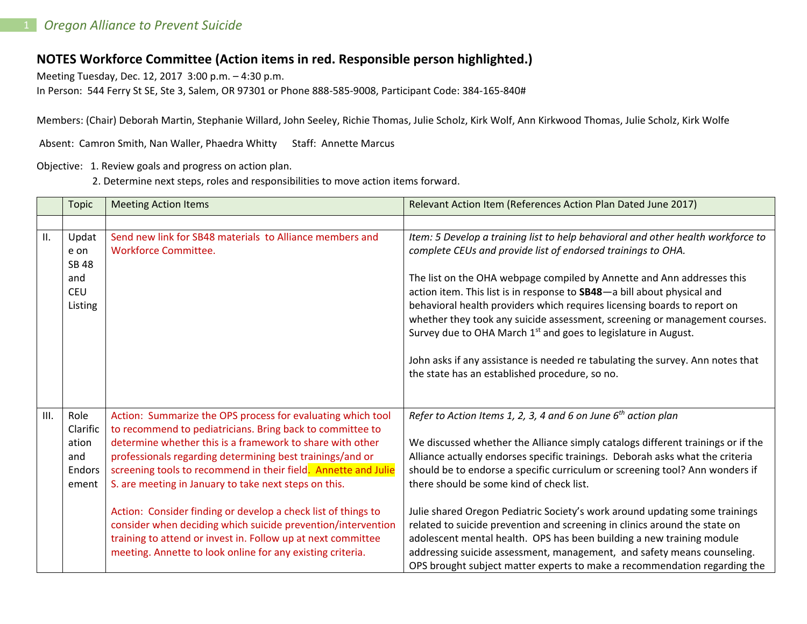## **NOTES Workforce Committee (Action items in red. Responsible person highlighted.)**

Meeting Tuesday, Dec. 12, 2017 3:00 p.m. – 4:30 p.m.

In Person: 544 Ferry St SE, Ste 3, Salem, OR 97301 or Phone 888-585-9008, Participant Code: 384-165-840#

Members: (Chair) Deborah Martin, Stephanie Willard, John Seeley, Richie Thomas, Julie Scholz, Kirk Wolf, Ann Kirkwood Thomas, Julie Scholz, Kirk Wolfe

Absent: Camron Smith, Nan Waller, Phaedra Whitty Staff: Annette Marcus

Objective: 1. Review goals and progress on action plan.

2. Determine next steps, roles and responsibilities to move action items forward.

|      | <b>Topic</b>                                                  | <b>Meeting Action Items</b>                                                                                                                                                                                                                                                                                                                                                                                                                                                                                                                                                                                                                  | Relevant Action Item (References Action Plan Dated June 2017)                                                                                                                                                                                                                                                                                                                                                                                                                                                                                                                                                                                                                                                                                                  |
|------|---------------------------------------------------------------|----------------------------------------------------------------------------------------------------------------------------------------------------------------------------------------------------------------------------------------------------------------------------------------------------------------------------------------------------------------------------------------------------------------------------------------------------------------------------------------------------------------------------------------------------------------------------------------------------------------------------------------------|----------------------------------------------------------------------------------------------------------------------------------------------------------------------------------------------------------------------------------------------------------------------------------------------------------------------------------------------------------------------------------------------------------------------------------------------------------------------------------------------------------------------------------------------------------------------------------------------------------------------------------------------------------------------------------------------------------------------------------------------------------------|
|      |                                                               |                                                                                                                                                                                                                                                                                                                                                                                                                                                                                                                                                                                                                                              |                                                                                                                                                                                                                                                                                                                                                                                                                                                                                                                                                                                                                                                                                                                                                                |
| II.  | Updat<br>e on<br><b>SB 48</b><br>and<br><b>CEU</b><br>Listing | Send new link for SB48 materials to Alliance members and<br><b>Workforce Committee.</b>                                                                                                                                                                                                                                                                                                                                                                                                                                                                                                                                                      | Item: 5 Develop a training list to help behavioral and other health workforce to<br>complete CEUs and provide list of endorsed trainings to OHA.<br>The list on the OHA webpage compiled by Annette and Ann addresses this<br>action item. This list is in response to SB48-a bill about physical and<br>behavioral health providers which requires licensing boards to report on<br>whether they took any suicide assessment, screening or management courses.<br>Survey due to OHA March 1 <sup>st</sup> and goes to legislature in August.<br>John asks if any assistance is needed re tabulating the survey. Ann notes that<br>the state has an established procedure, so no.                                                                              |
| III. | Role<br>Clarific<br>ation<br>and<br>Endors<br>ement           | Action: Summarize the OPS process for evaluating which tool<br>to recommend to pediatricians. Bring back to committee to<br>determine whether this is a framework to share with other<br>professionals regarding determining best trainings/and or<br>screening tools to recommend in their field. Annette and Julie<br>S. are meeting in January to take next steps on this.<br>Action: Consider finding or develop a check list of things to<br>consider when deciding which suicide prevention/intervention<br>training to attend or invest in. Follow up at next committee<br>meeting. Annette to look online for any existing criteria. | Refer to Action Items 1, 2, 3, 4 and 6 on June $6th$ action plan<br>We discussed whether the Alliance simply catalogs different trainings or if the<br>Alliance actually endorses specific trainings. Deborah asks what the criteria<br>should be to endorse a specific curriculum or screening tool? Ann wonders if<br>there should be some kind of check list.<br>Julie shared Oregon Pediatric Society's work around updating some trainings<br>related to suicide prevention and screening in clinics around the state on<br>adolescent mental health. OPS has been building a new training module<br>addressing suicide assessment, management, and safety means counseling.<br>OPS brought subject matter experts to make a recommendation regarding the |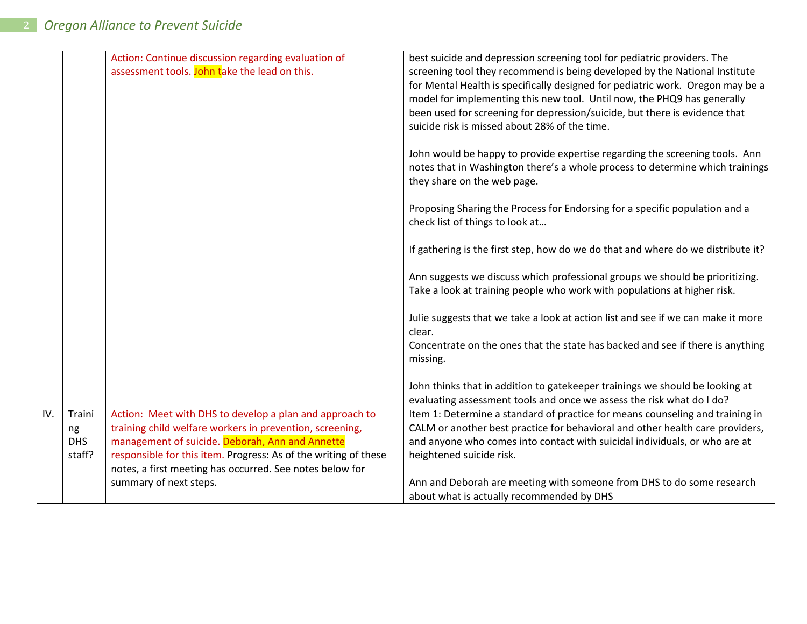|     |            | Action: Continue discussion regarding evaluation of<br>assessment tools. John take the lead on this. | best suicide and depression screening tool for pediatric providers. The<br>screening tool they recommend is being developed by the National Institute<br>for Mental Health is specifically designed for pediatric work. Oregon may be a<br>model for implementing this new tool. Until now, the PHQ9 has generally<br>been used for screening for depression/suicide, but there is evidence that<br>suicide risk is missed about 28% of the time.<br>John would be happy to provide expertise regarding the screening tools. Ann<br>notes that in Washington there's a whole process to determine which trainings<br>they share on the web page.<br>Proposing Sharing the Process for Endorsing for a specific population and a<br>check list of things to look at<br>If gathering is the first step, how do we do that and where do we distribute it?<br>Ann suggests we discuss which professional groups we should be prioritizing.<br>Take a look at training people who work with populations at higher risk. |
|-----|------------|------------------------------------------------------------------------------------------------------|--------------------------------------------------------------------------------------------------------------------------------------------------------------------------------------------------------------------------------------------------------------------------------------------------------------------------------------------------------------------------------------------------------------------------------------------------------------------------------------------------------------------------------------------------------------------------------------------------------------------------------------------------------------------------------------------------------------------------------------------------------------------------------------------------------------------------------------------------------------------------------------------------------------------------------------------------------------------------------------------------------------------|
|     |            |                                                                                                      | Julie suggests that we take a look at action list and see if we can make it more<br>clear.                                                                                                                                                                                                                                                                                                                                                                                                                                                                                                                                                                                                                                                                                                                                                                                                                                                                                                                         |
|     |            |                                                                                                      | Concentrate on the ones that the state has backed and see if there is anything<br>missing.                                                                                                                                                                                                                                                                                                                                                                                                                                                                                                                                                                                                                                                                                                                                                                                                                                                                                                                         |
|     |            |                                                                                                      | John thinks that in addition to gatekeeper trainings we should be looking at<br>evaluating assessment tools and once we assess the risk what do I do?                                                                                                                                                                                                                                                                                                                                                                                                                                                                                                                                                                                                                                                                                                                                                                                                                                                              |
| IV. | Traini     | Action: Meet with DHS to develop a plan and approach to                                              | Item 1: Determine a standard of practice for means counseling and training in                                                                                                                                                                                                                                                                                                                                                                                                                                                                                                                                                                                                                                                                                                                                                                                                                                                                                                                                      |
|     | ng         | training child welfare workers in prevention, screening,                                             | CALM or another best practice for behavioral and other health care providers,                                                                                                                                                                                                                                                                                                                                                                                                                                                                                                                                                                                                                                                                                                                                                                                                                                                                                                                                      |
|     | <b>DHS</b> | management of suicide. Deborah, Ann and Annette                                                      | and anyone who comes into contact with suicidal individuals, or who are at                                                                                                                                                                                                                                                                                                                                                                                                                                                                                                                                                                                                                                                                                                                                                                                                                                                                                                                                         |
|     | staff?     | responsible for this item. Progress: As of the writing of these                                      | heightened suicide risk.                                                                                                                                                                                                                                                                                                                                                                                                                                                                                                                                                                                                                                                                                                                                                                                                                                                                                                                                                                                           |
|     |            | notes, a first meeting has occurred. See notes below for                                             |                                                                                                                                                                                                                                                                                                                                                                                                                                                                                                                                                                                                                                                                                                                                                                                                                                                                                                                                                                                                                    |
|     |            | summary of next steps.                                                                               | Ann and Deborah are meeting with someone from DHS to do some research                                                                                                                                                                                                                                                                                                                                                                                                                                                                                                                                                                                                                                                                                                                                                                                                                                                                                                                                              |
|     |            |                                                                                                      | about what is actually recommended by DHS                                                                                                                                                                                                                                                                                                                                                                                                                                                                                                                                                                                                                                                                                                                                                                                                                                                                                                                                                                          |